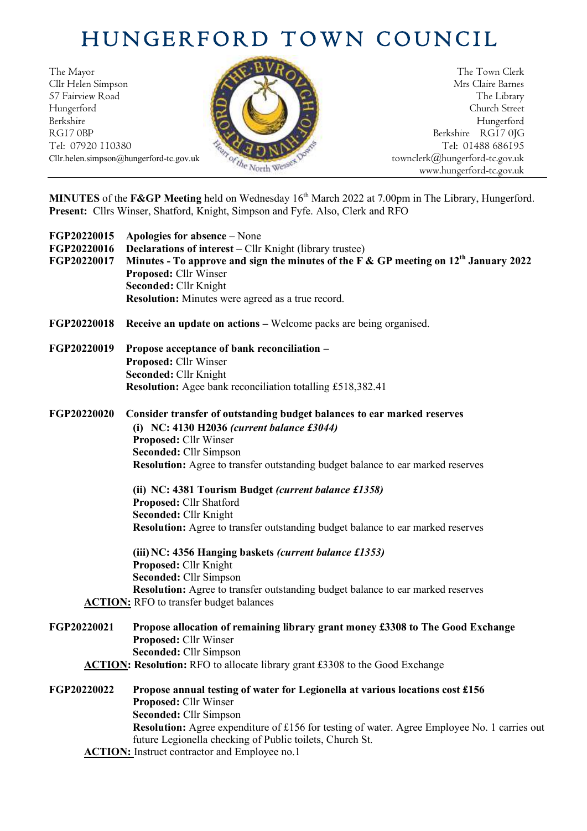## HUNGERFORD TOWN COUNCIL

The Mayor The Town Clerk Cllr Helen Simpson Mrs Claire Barnes 57 Fairview Road The Library (2008) The Library (2008) The Library (2008) The Library Hungerford Church Street Berkshire Hungerford RG17 0BP Berkshire RG17 0JG Berkshire RG17 0JG Berkshire RG17 0JG



Tel: 01488 686195 www.hungerford-tc.gov.uk

**MINUTES** of the **F&GP Meeting** held on Wednesday 16 th March 2022 at 7.00pm in The Library, Hungerford. **Present:** Cllrs Winser, Shatford, Knight, Simpson and Fyfe. Also, Clerk and RFO

| FGP20220015<br>FGP20220016<br>FGP20220017 | Apologies for absence – None<br><b>Declarations of interest</b> – Cllr Knight (library trustee)<br>Minutes - To approve and sign the minutes of the F & GP meeting on $12th$ January 2022<br>Proposed: Cllr Winser<br>Seconded: Cllr Knight<br><b>Resolution:</b> Minutes were agreed as a true record.                                                                                                                                                                                                                                                                                                                                                              |
|-------------------------------------------|----------------------------------------------------------------------------------------------------------------------------------------------------------------------------------------------------------------------------------------------------------------------------------------------------------------------------------------------------------------------------------------------------------------------------------------------------------------------------------------------------------------------------------------------------------------------------------------------------------------------------------------------------------------------|
| FGP20220018                               | <b>Receive an update on actions – Welcome packs are being organised.</b>                                                                                                                                                                                                                                                                                                                                                                                                                                                                                                                                                                                             |
| FGP20220019                               | Propose acceptance of bank reconciliation -<br>Proposed: Cllr Winser<br>Seconded: Cllr Knight<br><b>Resolution:</b> Agee bank reconciliation totalling £518,382.41                                                                                                                                                                                                                                                                                                                                                                                                                                                                                                   |
| FGP20220020                               | Consider transfer of outstanding budget balances to ear marked reserves<br>(i) NC: 4130 H2036 (current balance $£3044$ )<br>Proposed: Cllr Winser<br>Seconded: Cllr Simpson<br>Resolution: Agree to transfer outstanding budget balance to ear marked reserves<br>(ii) NC: 4381 Tourism Budget (current balance £1358)<br>Proposed: Cllr Shatford<br>Seconded: Cllr Knight<br><b>Resolution:</b> Agree to transfer outstanding budget balance to ear marked reserves<br>(iii) NC: 4356 Hanging baskets (current balance £1353)<br>Proposed: Cllr Knight<br>Seconded: Cllr Simpson<br>Resolution: Agree to transfer outstanding budget balance to ear marked reserves |
|                                           | <b>ACTION:</b> RFO to transfer budget balances                                                                                                                                                                                                                                                                                                                                                                                                                                                                                                                                                                                                                       |
| FGP20220021                               | Propose allocation of remaining library grant money £3308 to The Good Exchange<br>Proposed: Cllr Winser<br><b>Seconded: Cllr Simpson</b><br>ACTION: Resolution: RFO to allocate library grant £3308 to the Good Exchange                                                                                                                                                                                                                                                                                                                                                                                                                                             |
| FGP20220022                               | Propose annual testing of water for Legionella at various locations cost £156<br>Proposed: Cllr Winser<br>Seconded: Cllr Simpson<br>Resolution: Agree expenditure of £156 for testing of water. Agree Employee No. 1 carries out<br>future Legionella checking of Public toilets, Church St.<br><b>ACTION:</b> Instruct contractor and Employee no.1                                                                                                                                                                                                                                                                                                                 |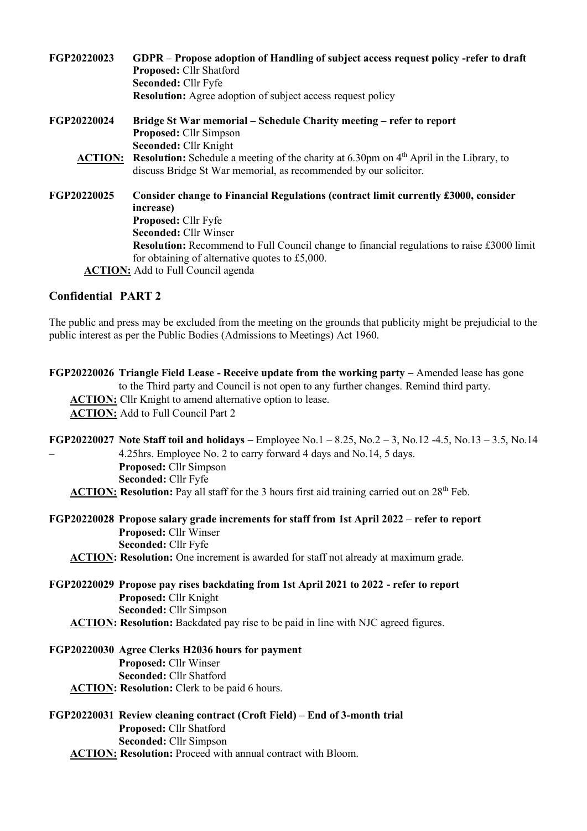| FGP20220023    | GDPR – Propose adoption of Handling of subject access request policy -refer to draft<br>Proposed: Cllr Shatford                                                         |
|----------------|-------------------------------------------------------------------------------------------------------------------------------------------------------------------------|
|                | Seconded: Cllr Fyfe                                                                                                                                                     |
|                | <b>Resolution:</b> Agree adoption of subject access request policy                                                                                                      |
| FGP20220024    | Bridge St War memorial – Schedule Charity meeting – refer to report<br>Proposed: Cllr Simpson                                                                           |
|                | Seconded: Cllr Knight                                                                                                                                                   |
| <b>ACTION:</b> | Resolution: Schedule a meeting of the charity at 6.30pm on 4 <sup>th</sup> April in the Library, to<br>discuss Bridge St War memorial, as recommended by our solicitor. |
|                |                                                                                                                                                                         |
| FGP20220025    | Consider change to Financial Regulations (contract limit currently £3000, consider                                                                                      |
|                | increase)                                                                                                                                                               |
|                | <b>Proposed: Cllr Fyfe</b>                                                                                                                                              |
|                | <b>Seconded: Cllr Winser</b>                                                                                                                                            |
|                | <b>Resolution:</b> Recommend to Full Council change to financial regulations to raise £3000 limit                                                                       |
|                | for obtaining of alternative quotes to £5,000.                                                                                                                          |
|                | <b>ACTION:</b> Add to Full Council agenda                                                                                                                               |
|                |                                                                                                                                                                         |

## **Confidential PART 2**

The public and press may be excluded from the meeting on the grounds that publicity might be prejudicial to the public interest as per the Public Bodies (Admissions to Meetings) Act 1960.

**FGP20220026 Triangle Field Lease - Receive update from the working party –** Amended lease has gone to the Third party and Council is not open to any further changes. Remind third party. **ACTION:** Cllr Knight to amend alternative option to lease. **ACTION:** Add to Full Council Part 2

**FGP20220027 Note Staff toil and holidays –** Employee No.1 – 8.25, No.2 – 3, No.12 -4.5, No.13 – 3.5, No.14 – 4.25hrs. Employee No. 2 to carry forward 4 days and No.14, 5 days. **Proposed:** Cllr Simpson **Seconded:** Cllr Fyfe **ACTION: Resolution:** Pay all staff for the 3 hours first aid training carried out on 28<sup>th</sup> Feb.

## **FGP20220028 Propose salary grade increments for staff from 1st April 2022 – refer to report Proposed:** Cllr Winser **Seconded:** Cllr Fyfe **ACTION: Resolution:** One increment is awarded for staff not already at maximum grade.

- **FGP20220029 Propose pay rises backdating from 1st April 2021 to 2022 - refer to report Proposed:** Cllr Knight **Seconded:** Cllr Simpson **ACTION: Resolution:** Backdated pay rise to be paid in line with NJC agreed figures.
- **FGP20220030 Agree Clerks H2036 hours for payment Proposed:** Cllr Winser **Seconded:** Cllr Shatford **ACTION: Resolution:** Clerk to be paid 6 hours.

**FGP20220031 Review cleaning contract (Croft Field) – End of 3-month trial Proposed:** Cllr Shatford **Seconded:** Cllr Simpson **ACTION: Resolution:** Proceed with annual contract with Bloom.